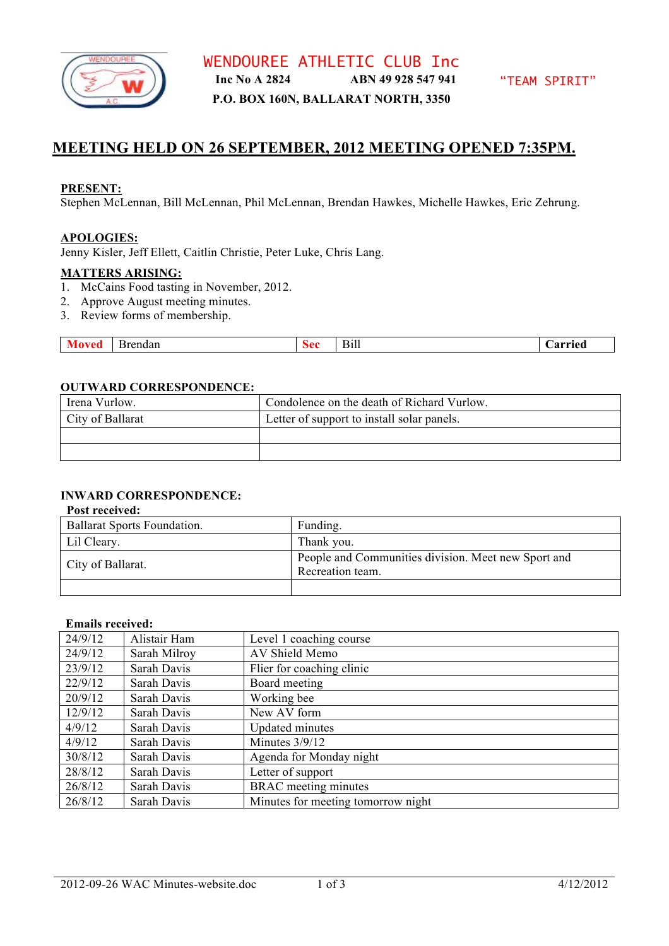

# **MEETING HELD ON 26 SEPTEMBER, 2012 MEETING OPENED 7:35PM.**

#### **PRESENT:**

Stephen McLennan, Bill McLennan, Phil McLennan, Brendan Hawkes, Michelle Hawkes, Eric Zehrung.

#### **APOLOGIES:**

Jenny Kisler, Jeff Ellett, Caitlin Christie, Peter Luke, Chris Lang.

#### **MATTERS ARISING:**

- 1. McCains Food tasting in November, 2012.
- 2. Approve August meeting minutes.
- 3. Review forms of membership.

| ___ | 3rendan<br>ור | ,,<br>-- | -<br>51h | арріас<br>и<br>16 L |
|-----|---------------|----------|----------|---------------------|

#### **OUTWARD CORRESPONDENCE:**

| Irena Vurlow.    | Condolence on the death of Richard Vurlow. |
|------------------|--------------------------------------------|
| City of Ballarat | Letter of support to install solar panels. |
|                  |                                            |
|                  |                                            |

### **INWARD CORRESPONDENCE:**

#### **Post received:**

| <b>Ballarat Sports Foundation.</b> | Funding.                                                                |
|------------------------------------|-------------------------------------------------------------------------|
| Lil Cleary.                        | Thank you.                                                              |
| City of Ballarat.                  | People and Communities division. Meet new Sport and<br>Recreation team. |
|                                    |                                                                         |

#### **Emails received:**

| 24/9/12 | Alistair Ham | Level 1 coaching course            |
|---------|--------------|------------------------------------|
| 24/9/12 | Sarah Milroy | AV Shield Memo                     |
| 23/9/12 | Sarah Davis  | Flier for coaching clinic          |
| 22/9/12 | Sarah Davis  | Board meeting                      |
| 20/9/12 | Sarah Davis  | Working bee                        |
| 12/9/12 | Sarah Davis  | New AV form                        |
| 4/9/12  | Sarah Davis  | <b>Updated minutes</b>             |
| 4/9/12  | Sarah Davis  | Minutes $3/9/12$                   |
| 30/8/12 | Sarah Davis  | Agenda for Monday night            |
| 28/8/12 | Sarah Davis  | Letter of support                  |
| 26/8/12 | Sarah Davis  | <b>BRAC</b> meeting minutes        |
| 26/8/12 | Sarah Davis  | Minutes for meeting tomorrow night |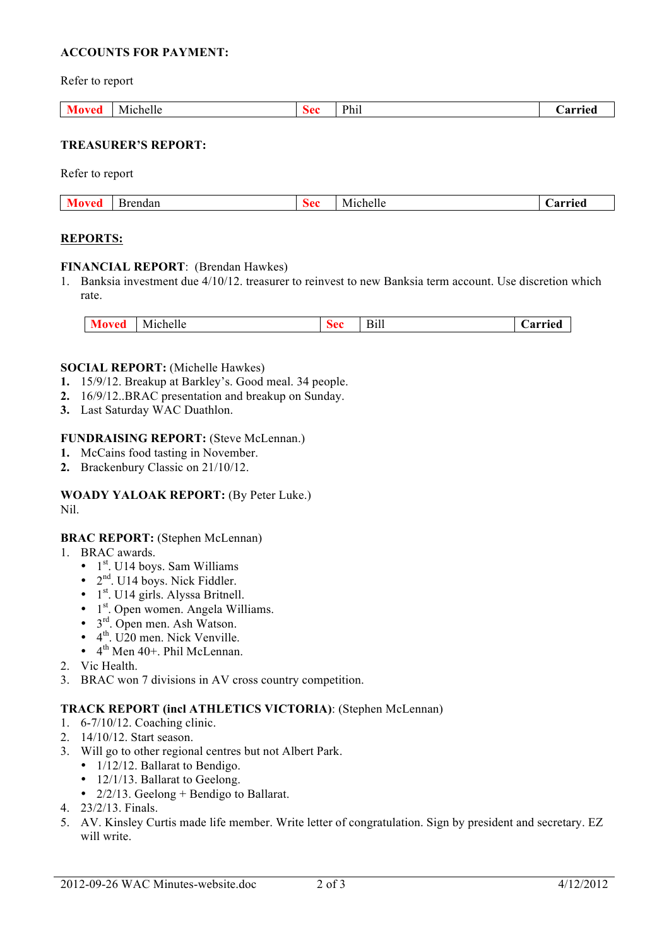### **ACCOUNTS FOR PAYMENT:**

Refer to report

|  | <b>Moved</b> | Michelle | Sec | Phi | $\sim$ $\sim$<br>$A = 100$ |
|--|--------------|----------|-----|-----|----------------------------|
|--|--------------|----------|-----|-----|----------------------------|

#### **TREASURER'S REPORT:**

Refer to report

| 3rendan<br>ור<br>----- | ^^^<br>pcc | <br>Michelle<br>_____ | arried<br>л |
|------------------------|------------|-----------------------|-------------|

#### **REPORTS:**

#### **FINANCIAL REPORT**: (Brendan Hawkes)

1. Banksia investment due 4/10/12. treasurer to reinvest to new Banksia term account. Use discretion which rate.

#### **SOCIAL REPORT:** (Michelle Hawkes)

- **1.** 15/9/12. Breakup at Barkley's. Good meal. 34 people.
- **2.** 16/9/12..BRAC presentation and breakup on Sunday.
- **3.** Last Saturday WAC Duathlon.

#### **FUNDRAISING REPORT:** (Steve McLennan.)

- **1.** McCains food tasting in November.
- **2.** Brackenbury Classic on 21/10/12.

#### **WOADY YALOAK REPORT:** (By Peter Luke.) Nil.

#### **BRAC REPORT:** (Stephen McLennan)

- 1. BRAC awards.
	- $\bullet$  1<sup>st</sup>. U14 boys. Sam Williams
	- $2<sup>nd</sup>$ . U14 boys. Nick Fiddler.
	- $\bullet$  1<sup>st</sup>. U14 girls. Alyssa Britnell.
	- $\bullet$  1<sup>st</sup>. Open women. Angela Williams.
	- $\bullet$  3<sup>rd</sup>. Open men. Ash Watson.
	- $\bullet$  4<sup>th</sup>. U20 men. Nick Venville.
	- $\bullet$  4<sup>th</sup> Men 40<sup>+</sup>. Phil McLennan.
- 2. Vic Health.
- 3. BRAC won 7 divisions in AV cross country competition.

## **TRACK REPORT (incl ATHLETICS VICTORIA)**: (Stephen McLennan)

- 1. 6-7/10/12. Coaching clinic.
- 2. 14/10/12. Start season.
- 3. Will go to other regional centres but not Albert Park.
	- 1/12/12. Ballarat to Bendigo.
	- 12/1/13. Ballarat to Geelong.
	- $2/2/13$ . Geelong + Bendigo to Ballarat.
- 4. 23/2/13. Finals.
- 5. AV. Kinsley Curtis made life member. Write letter of congratulation. Sign by president and secretary. EZ will write.